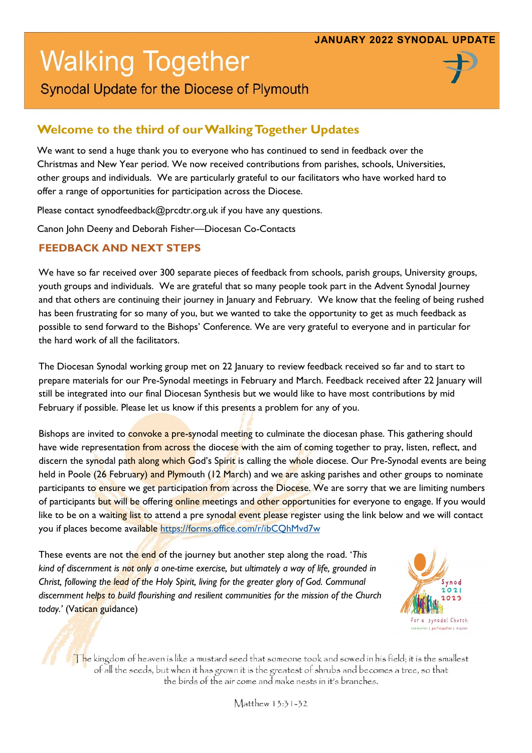# **Walking Together**



Synodal Update for the Diocese of Plymouth

## **Welcome to the third of our Walking Together Updates**

We want to send a huge thank you to everyone who has continued to send in feedback over the Christmas and New Year period. We now received contributions from parishes, schools, Universities, other groups and individuals. We are particularly grateful to our facilitators who have worked hard to offer a range of opportunities for participation across the Diocese.

Please contact synodfeedback@prcdtr.org.uk if you have any questions.

Canon John Deeny and Deborah Fisher—Diocesan Co-Contacts

#### **FEEDBACK AND NEXT STEPS**

We have so far received over 300 separate pieces of feedback from schools, parish groups, University groups, youth groups and individuals. We are grateful that so many people took part in the Advent Synodal Journey and that others are continuing their journey in January and February. We know that the feeling of being rushed has been frustrating for so many of you, but we wanted to take the opportunity to get as much feedback as possible to send forward to the Bishops' Conference. We are very grateful to everyone and in particular for the hard work of all the facilitators.

The Diocesan Synodal working group met on 22 January to review feedback received so far and to start to prepare materials for our Pre-Synodal meetings in February and March. Feedback received after 22 January will still be integrated into our final Diocesan Synthesis but we would like to have most contributions by mid February if possible. Please let us know if this presents a problem for any of you.

Bishops are invited to convoke a pre-synodal meeting to culminate the diocesan phase. This gathering should have wide representation from across the diocese with the aim of coming together to pray, listen, reflect, and discern the synodal path along which God's Spirit is calling the whole diocese. Our Pre-Synodal events are being held in Poole (26 February) and Plymouth (12 March) and we are asking parishes and other groups to nominate participants to ensure we get participation from across the Diocese. We are sorry that we are limiting numbers of participants but will be offering online meetings and other opportunities for everyone to engage. If you would like to be on a waiting list to attend a pre synodal event please register using the link below and we will contact you if places become available <https://forms.office.com/r/ibCQhMvd7w>

These events are not the end of the journey but another step along the road. '*This kind of discernment is not only a one-time exercise, but ultimately a way of life, grounded in Christ, following the lead of the Holy Spirit, living for the greater glory of God. Communal discernment helps to build flourishing and resilient communities for the mission of the Church today.'* (Vatican guidance)



The kingdom of heaven is like a mustard seed that someone took and sowed in his field; it is the smallest of all the seeds, but when it has grown it is the greatest of shrubs and becomes a tree, so that the birds of the air come and make nests in it's branches.

Matthew 13:31-32